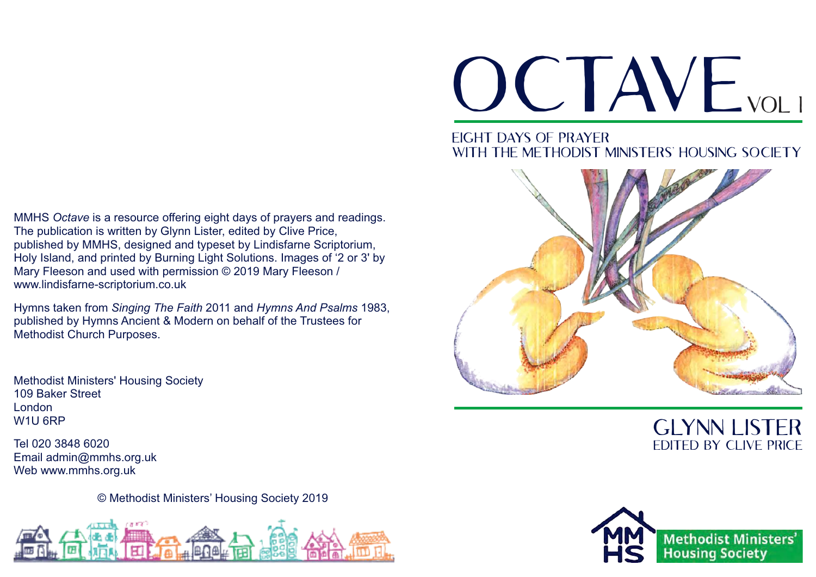#### MMHS *Octave* is a resource offering eight days of prayers and readings. The publication is written by Glynn Lister, edited by Clive Price, published by MMHS, designed and typeset by Lindisfarne Scriptorium, Holy Island, and printed by Burning Light Solutions. Images of '2 or 3' by Mary Fleeson and used with permission © 2019 Mary Fleeson / www.lindisfarne-scriptorium.co.uk

Hymns taken from *Singing The Faith* 2011 and *Hymns And Psalms* 1983, published by Hymns Ancient & Modern on behalf of the Trustees for Methodist Church Purposes.

Methodist Ministers' Housing Society 109 Baker Street London W1U 6RP

Tel 020 3848 6020 Email admin@mmhs.org.uk Web www.mmhs.org.uk

© Methodist Ministers' Housing Society 2019



# OCTAVE<sub>VOLI</sub>

#### Eight days of prayer WITH THE METHODIST MINISTERS' HOUSING SOCIETY



## Glynn Lister Edited by Clive Price

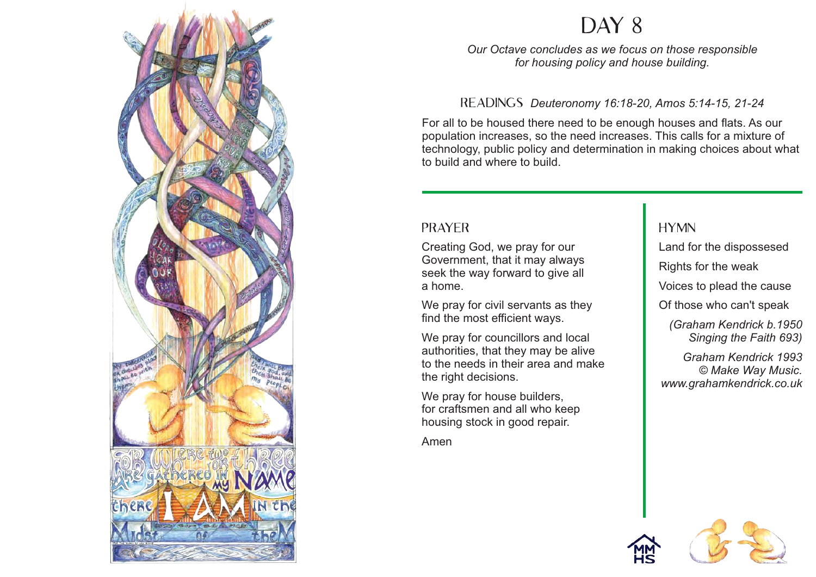



#### Director *Deuteronomy* 10.10-20, Amos 0.14-10, Readings *Deuteronomy 16:18-20, Amos 5:14-15, 21-24*

For all to be housed there need to be enough houses and flats. As our population increases, so the need increases. This calls for a mixture of technology, public policy and determination in making choices about what<br>. to build and where to build.

> In this version, we obtain the same temperature for  $\mathcal{E}$ each of our own eight days – a reading, a prayer

Spend as little or as long a time on *Octave* as you feel is necessary. Prayer is all about letting your

mind wander in the presence of God.

#### **PRAYER**

 $T_{\text{max}}$  is the idea behind such an approximate in the intervalse in the intervalse in the intervalse in the intervalse in the intervalse in the intervalse in the intervalse in the intervalse in the intervalse in the int breating God, we pray for our and the same for the disp<br>Government, that it may always  $\mu$  forward to give all **Rights for the weak**  $\sim$  you can spend more to p Creating God, we pray for our seek the way forward to give all a home.

We pray for civil servants as they find the most efficient ways.

Orianan)<br>مون**ه ال**حدا و المقطعة المقطعة المقطعة We pray for councillors and local Singing the Singing the reading the reading the reading the reading the value of  $\mathbb{R}$  $\frac{1}{2}$  in their cross and make  $\frac{1}{2}$  Graham. authorities, that they may be alive to the needs in their area and make the right decisions.

We pray for house builders, housing stock in good repair. In the latter and finish somewhere. If you get  $\mathsf F$ lost in the middle, that's fine, too. for craftsmen and all who keep

Amen

#### **HYMN**

Land for the dispossesed

y lot wat a to give all **v** Voices to plead the cause

Of those who can't speak

*(Graham Kendrick b.1950 Singing the Faith 693)*

**Figure 19 and to look up the whole way Music.**<br> *C Make Way Music.* hymn and that www.grahamkendrick.co.uk *Graham Kendrick 1993*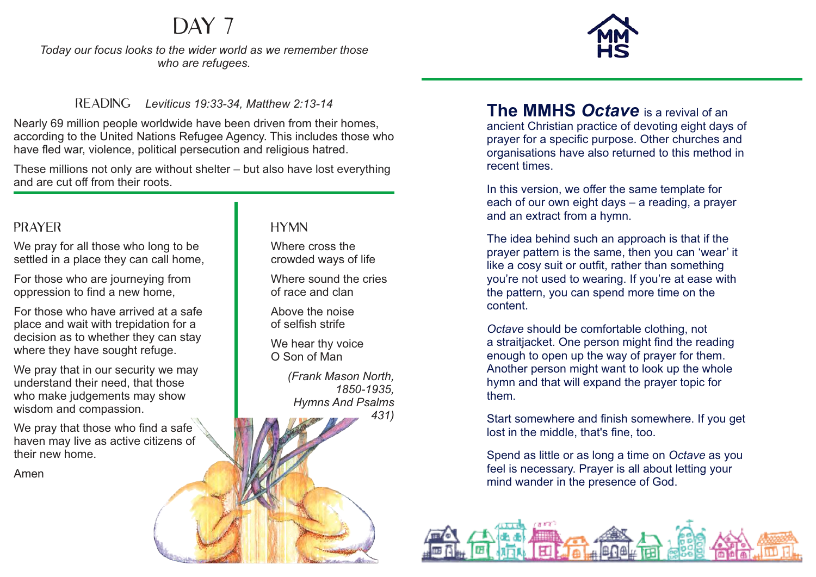*Today our focus looks to the wider world as we remember those* 

#### READING **Leviticus** 19:33-14

Nearly 69 million per de worldwide have been driven from their homes,<br>according to the United News Leader Street, this includes those who according to the United National Refugee Agency. This includes those fled war, violency. policy. This includes th have fled war, violence, political

These millions not only are  $\mathbf{W}$  and  $\mathbf{G}$  and  $\mathbf{G}$  are lost everything and are cut off from their

#### **PRAYER**

We pray for all those who settled in a place the v can

For those who are journeed oppression to find a new home

For those who have an ved place and wait with trepidation  $decision$  as to whether they where they have sought  $ref$ 

We pray that in our security understand their network who make judgements  $m$ wisdom and  $compe$  ision.

here

We pray that those who find  $\mathbf{r}$ haven may live as  $\frac{1}{4}$ their new home.

Amen

# $\sim$ *Our Octave concludes as we focus on those responsible*

Day 1

*who are refugees.*

#### ИN **Nere cross the** vded ways of life

 $W$  ire sound the cries of *race* and clan

 $\mathcal{L}$  we the noise selfish strife

We hear thy voice O Son of Man

*(Frank Mason North, 1850-1935, Hymns And Psalms 431)*

Readings *Deuteronomy 16:18-20, Amos 5:14-15, 21-24* ancient Christian practice of devoting eight days of prayer for a specific purpose. Other churches and organisations have also returned to this method in recent times. **The MMHS** *Octave* is a revival of an

> In this version, we offer the same template for each of our own eight days – a reading, a prayer and an extract from a hymn.

prayer pattern is the same, then you can 'wear' it project pattern to the earney then you can them it. seek the way for sealing the way forward the way for the with you're not used to wearing. If you're at ease with content. Hymn you're not assaint wealing. If you're at ease with the pattern, you can spend more time on the The idea behind such an approach is that if the

Octave should be comfortable clothing, not a straitjacket. One person might find the reading enough to open up the way of prayer for them. Another person might want to look up the whole the right decisions. *www.grahamkendrick.co.uk* hymn and that will expand the prayer topic for  $then.$ 

for craftsmen and all who keeps  $\sigma$ Start somewhere and finish somewhere. If you get lost in the middle, that's fine, too.

> Spend as little or as long a time on *Octave* as you feel is necessary. Prayer is all about letting your mind wander in the presence of God.

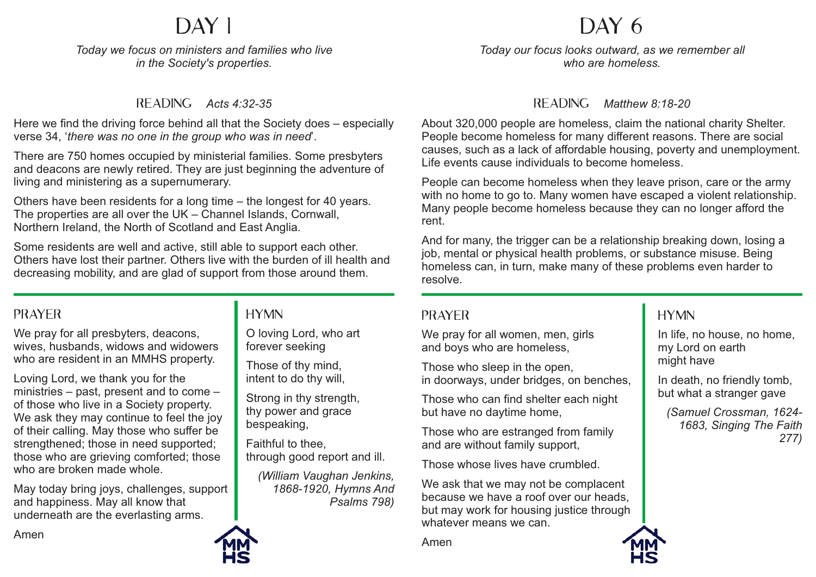# DAY 1

*Today we focus on ministers and families who live in the Society's properties.* 

#### Reading *Acts 4:32-35* Reading *Luke 10:29-37*

Here we find the driving force behind all that the Society does – especially verse 34, 'there was no one in the group who was in need'.

There are 750 homes occupied by ministerial families. Some presbyters and deacons are newly retired. They are just beginning the adventure of living and ministering as a supernumerary.

Others have been residents for a long time – the longest for 40 years. The properties are all over the UK – Channel Islands, Cornwall, The proporties are all even the Sixth Shahmer Islands, Schotthern Ireland, the North of Scotland and East Anglia.

Some residents are well and active, still able to support each other. Others have lost their partner. Others live with the burden of ill health and decreasing mobility, and are glad of support from those around them. showing their love, for

#### PRAYER<br>
UNIXER lower and care shown by the shown by the shown by the shown by the shown by the shown by the shown by the shown by the shown by the shown by the shown by the shown by the shown by the shown by the shown by the shown by the

medical staff who ease of the staff who ease of the staff who ease of the staff who ease of the staff who ease<br>The staff who ease of the staff who ease of the staff who ease of the staff who ease of the staff who ease of

We pray for all presbyters, deacons, wives, husbands, widows and widowers who are resident in an MMHS property.

Loving Lord, we thank you for the ministries – past, present and to come – of those who live in a Society property. We ask they may continue to feel the joy of their calling. May those who suffer be strengthened; those in need supported; those who are grieving comforted; those alloco who are grieving come<br>who are broken made whole.

May today bring joys, challenges, support and happiness. May all know that underneath are the everlasting arms.

## HYMN **By the WOMER**

as I have loved you

O loving Lord, who art forever seeking  $\mathbf{t}$  that you are my disciples. *(Anonymous, Singing The Faith 242)*

Those of thy mind, intent to do thy will,

Strong in thy strength, thy power and grace bespeaking,

Faithful to thee, through good report and ill.

*(William Vaughan Jenkins, 1868-1920, Hymns And Psalms 798)*

# DAY 6

*Today we focus on the senior management team and staff who work Today our focus looks outward, as we remember all at the Society's office in London. who are homeless.*

#### READING Matthew 8:18-20

About 320,000 people are homeless, claim the national charity Shelter. People become homeless for many different reasons. There are social causes, such as a lack of affordable housing, poverty and unemployment. Life events cause individuals to become homeless.

rent. People can become homeless when they leave prison, care or the army recepto can become nonlolece when any leave pheon, care or are anny with no home to go to. Many women have escaped a violent relationship. Many people become homeless because they can no longer afford the

And for many, the thyger can be a relationship breaking down, losing<br>job, mental or physical health problems, or substance misuse. Being job, montal of prijstoal hoaith probloms, of monicies can, in tant, make many or  $i$ <sub>c</sub>olved  $i$ O Lord I go homeless can, in turn, make many of these problems even harder to And for many, the trigger can be a relationship breaking down, losing a resolve.

#### $\mathbf{E} \mathbf{E}$  and  $\mathbf{E} \mathbf{E}$ property and administration of the set of  $\mathcal{P}$

We pray for all women, men, girls and boys who are homeless,

they are valued, and how much they Those who sleep in the open,  $\overline{\phantom{a}}$ in doorways, under bridges, on benches,

Those who can find shelter each night but have no daytime home,

 $t_{\rm max}$  and different situations and different situations and different situations and  $\tau$ Those who are estranged from family and are without family support,

Amen Those whose lives have crumbled.

We ask that we may not be complacent because we have a roof over our heads, but may work for housing justice through whatever means we can.

Amen

## **HYMN**

*Singing The Faith 550)* In life, no house, no home, my Lord on earth might have

*(Charles Wesley,* 

*277)*

In death, no friendly tomb, but what a stranger gave *(Samuel Crossman, 1624- 1683, Singing The Faith* 

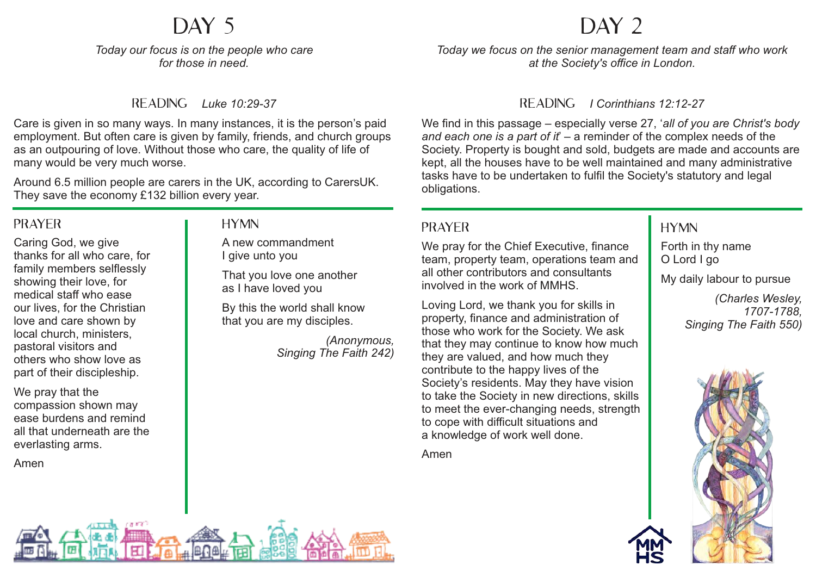# DAY 5

*Today our focus is on the people who care Today we focus on ministers and families who live for those in need. in the Society's properties.*

#### Reading *Luke 10:29-37* Reading *Acts 4:32-35*

Care is given in so many ways. In many instances, it is the person's paid employment. But often care is given by family, friends, and church groups as an outpouring of love. Without those who care, the quality of life of<br>many would be very much werse many would be very much worse. many would be very madir worde.

Around 6.5 million people are carers in the UK, according to CarersUK. They save the economy £132 billion every year.<br>————————————————————

#### **PRAYER** PRATER III TIMIN

Caring God, we give thanks for all who care, for family members selflessly showing their love, for medical staff who ease our lives, for the Christian our lives, for the Offitstia<br>love and care shown by local church, ministers, **the construction of the set of all** pastoral visitors and widows and widows and widows and widows and widows and widow others who show love as **the state in an I** part of their discipleship. Some residents are well and active residents are well about the support each other. The support each other web<br>Some residents are supported to support the support of the support of the support of the support of the support  $\frac{1}{2}$  are lost the burden of intervals in the burden of intervals in the burden of intervals in the burden of intervals in the burden of intervals in the burden of intervals in the burden of intervals in the burden of

We pray that the  $\blacksquare$  $compassion$  shown may  $\|\cdot\|$ ease burdens and remind **they** ask the all that underneath are the  $\blacksquare$ everlasting arms.

May today bring joys, challenges, support

and happiness. May all know that

Amen  $t_{\text{mon}}$  $m_{\rm H}$ 

#### Hymn  $T_{\rm D}$  and  $T_{\rm C}$  are all over the UK – Channel Islands, Cornel Islands, Cornel Islands, Cornel Islands, Cornel Islands, Cornel Islands, Cornel Islands, Cornel Islands, Cornel Islands, Cornel Islands, Cornel Islands,

A new commandment I give unto you

ramily members selliessly<br>showing their love for support of another showing their love of support of the manufacture of them. as I have loved you

> By this the world shall know by this the world shall kno<br>that you are my disciples.

> > *(Anonymous, Fribriyinous*,<br>Singing The Faith 242)

## DAY 2

*Today we focus on the senior management team and staff who work who are homeless. at the Society's office in London.*

#### Reading *Matthew 8:18-20* Reading *I Corinthians 12:12-27*

We find in this passage – especially verse 27, '*all of you are Christ's body and each one is a part of it*' – a reminder of the complex needs of the Society. Property is bought and sold, budgets are made and accounts are kept, all the houses have to be well maintained and many administrative tasks have to be undertaken to fulfil the Society's statutory and legal<br>obligations  $w_i$  to go to go to. Many women have escaped a violent relationship. obligations.

Many people become homeless become homeless because they can no longer afford they can no longer afford they can

## **PRAYER**

We pray for the Chief Executive, finance  $\begin{array}{|c|c|} \hline \end{array}$  Forth in thy name team, property team, operations team and **O** Lord I go edin, proporty todin, operations todin and  $\overline{a}$  of the problems even harder to pure an other contributors and conditions.

Prayer property, finance and administration of those who work for the Society. We ask that they may continue to know how much contribute to the happy lives of the Society's residents. May they have vision to take the Society in new directions, skills to meet the ever-changing needs, strength a knowledge of work well done.  $\overline{a}$ Loving Lord, we thank you for skills in they are valued, and how much they to cope with difficult situations and

Amen

#### **HYMN**

Forth in thy name O Lord I go My daily labour to pursue *(Charles Wesley,* 

 $\overline{\phantom{a}}$ In life, no house, no home, *1707-1788, Singing The Faith 550)*